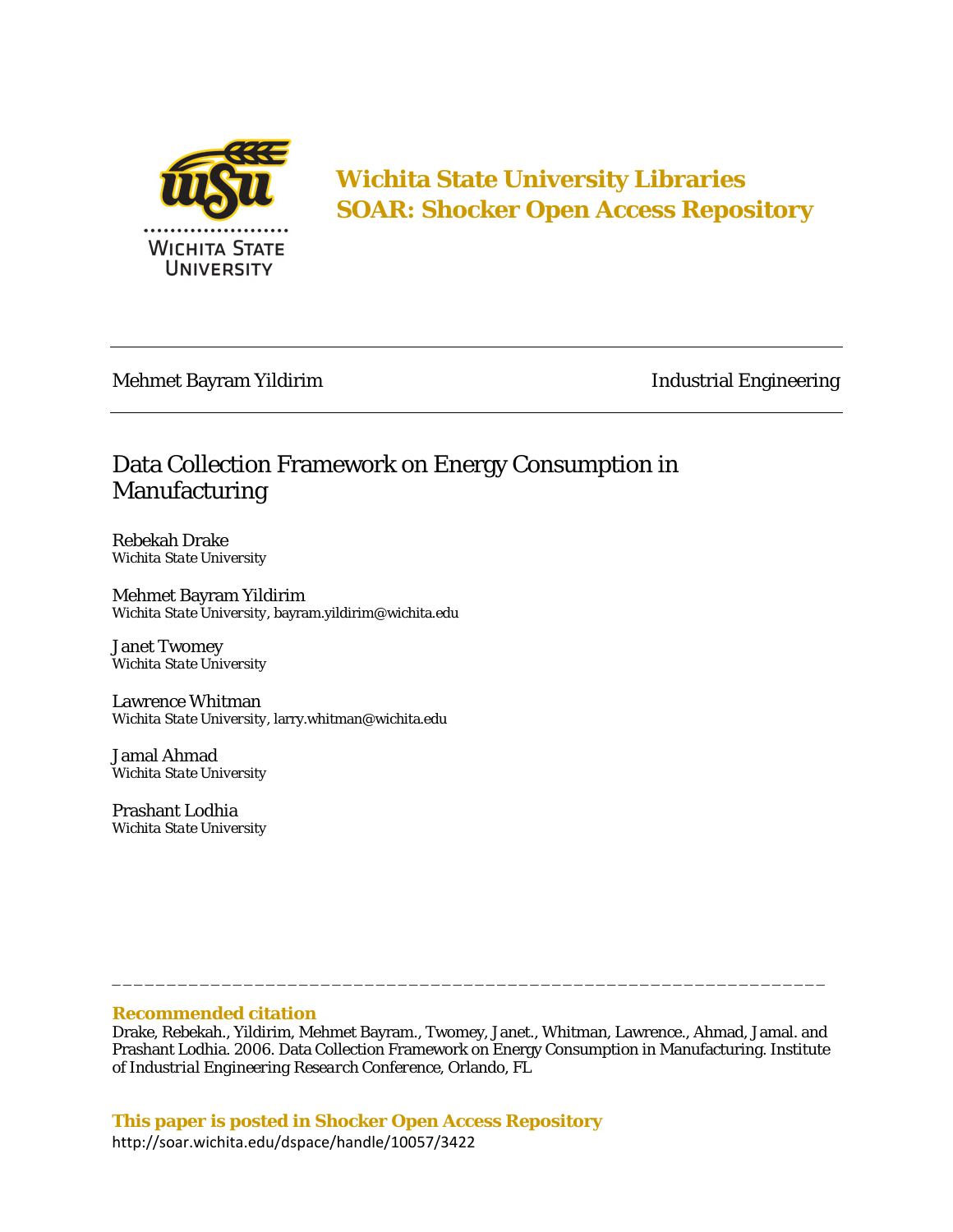

**Wichita State University Libraries SOAR: Shocker Open Access Repository** 

Mehmet Bayram Yildirim **Industrial Engineering** 

# Data Collection Framework on Energy Consumption in Manufacturing

Rebekah Drake *Wichita State University* 

Mehmet Bayram Yildirim *Wichita State University,* bayram.yildirim@wichita.edu

Janet Twomey *Wichita State University* 

Lawrence Whitman *Wichita State University,* larry.whitman@wichita.edu

Jamal Ahmad *Wichita State University* 

Prashant Lodhia *Wichita State University* 

# **Recommended citation**

Drake, Rebekah., Yildirim, Mehmet Bayram., Twomey, Janet., Whitman, Lawrence., Ahmad, Jamal. and Prashant Lodhia. 2006. Data Collection Framework on Energy Consumption in Manufacturing. *Institute of Industrial Engineering Research Conference*, Orlando, FL

\_\_\_\_\_\_\_\_\_\_\_\_\_\_\_\_\_\_\_\_\_\_\_\_\_\_\_\_\_\_\_\_\_\_\_\_\_\_\_\_\_\_\_\_\_\_\_\_\_\_\_\_\_\_\_\_\_\_\_\_\_\_\_\_\_

**This paper is posted in Shocker Open Access Repository**  http://soar.wichita.edu/dspace/handle/10057/3422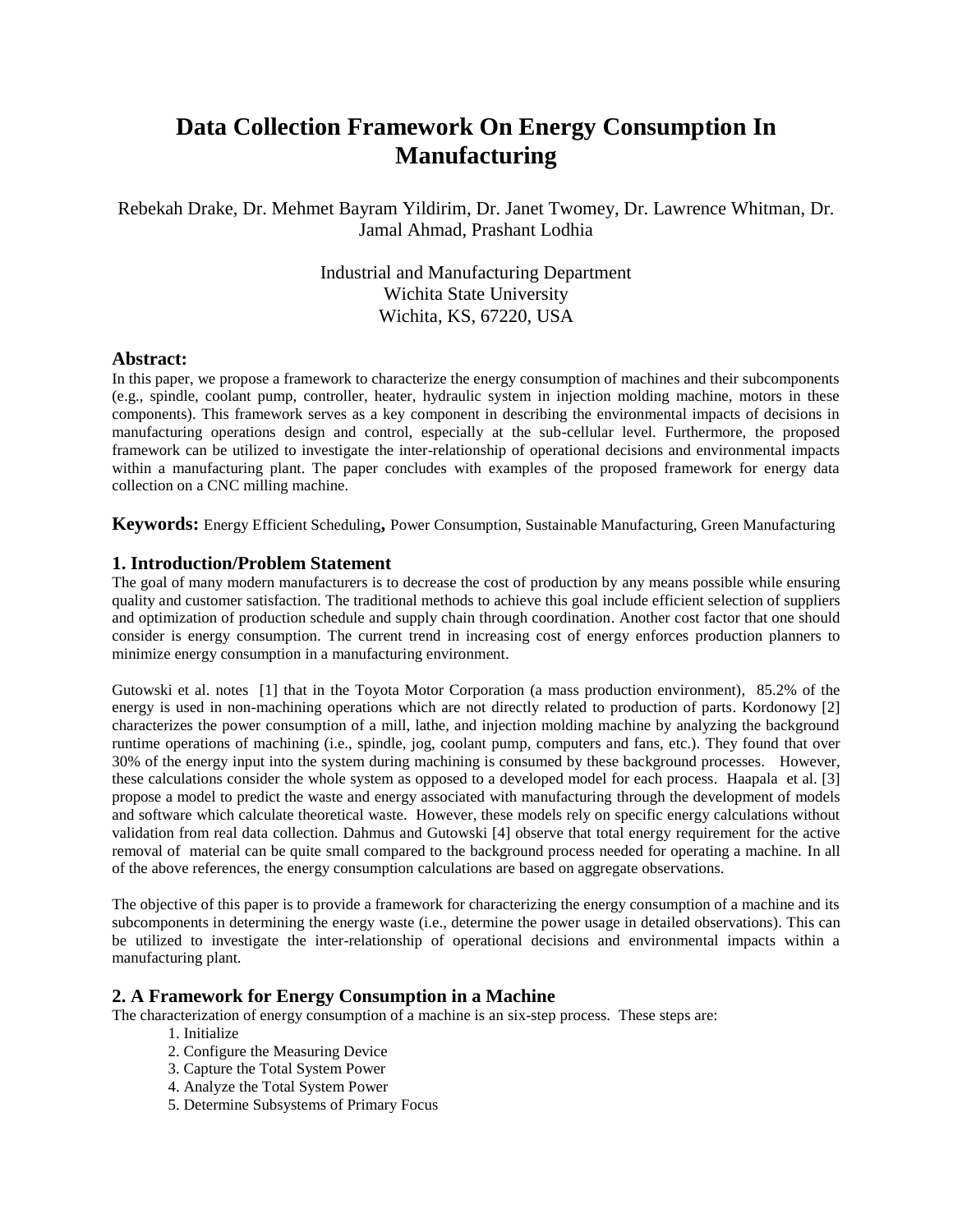# **Data Collection Framework On Energy Consumption In Manufacturing**

Rebekah Drake, Dr. Mehmet Bayram Yildirim, Dr. Janet Twomey, Dr. Lawrence Whitman, Dr. Jamal Ahmad, Prashant Lodhia

> Industrial and Manufacturing Department Wichita State University Wichita, KS, 67220, USA

## **Abstract:**

In this paper, we propose a framework to characterize the energy consumption of machines and their subcomponents (e.g., spindle, coolant pump, controller, heater, hydraulic system in injection molding machine, motors in these components). This framework serves as a key component in describing the environmental impacts of decisions in manufacturing operations design and control, especially at the sub-cellular level. Furthermore, the proposed framework can be utilized to investigate the inter-relationship of operational decisions and environmental impacts within a manufacturing plant. The paper concludes with examples of the proposed framework for energy data collection on a CNC milling machine.

**Keywords:** Energy Efficient Scheduling**,** Power Consumption, Sustainable Manufacturing, Green Manufacturing

# **1. Introduction/Problem Statement**

The goal of many modern manufacturers is to decrease the cost of production by any means possible while ensuring quality and customer satisfaction. The traditional methods to achieve this goal include efficient selection of suppliers and optimization of production schedule and supply chain through coordination. Another cost factor that one should consider is energy consumption. The current trend in increasing cost of energy enforces production planners to minimize energy consumption in a manufacturing environment.

Gutowski et al. notes [1] that in the Toyota Motor Corporation (a mass production environment), 85.2% of the energy is used in non-machining operations which are not directly related to production of parts. Kordonowy [2] characterizes the power consumption of a mill, lathe, and injection molding machine by analyzing the background runtime operations of machining (i.e., spindle, jog, coolant pump, computers and fans, etc.). They found that over 30% of the energy input into the system during machining is consumed by these background processes. However, these calculations consider the whole system as opposed to a developed model for each process. Haapala et al. [3] propose a model to predict the waste and energy associated with manufacturing through the development of models and software which calculate theoretical waste. However, these models rely on specific energy calculations without validation from real data collection. Dahmus and Gutowski [4] observe that total energy requirement for the active removal of material can be quite small compared to the background process needed for operating a machine. In all of the above references, the energy consumption calculations are based on aggregate observations.

The objective of this paper is to provide a framework for characterizing the energy consumption of a machine and its subcomponents in determining the energy waste (i.e., determine the power usage in detailed observations). This can be utilized to investigate the inter-relationship of operational decisions and environmental impacts within a manufacturing plant.

# **2. A Framework for Energy Consumption in a Machine**

The characterization of energy consumption of a machine is an six-step process. These steps are:

- 1. Initialize
- 2. Configure the Measuring Device
- 3. Capture the Total System Power
- 4. Analyze the Total System Power
- 5. Determine Subsystems of Primary Focus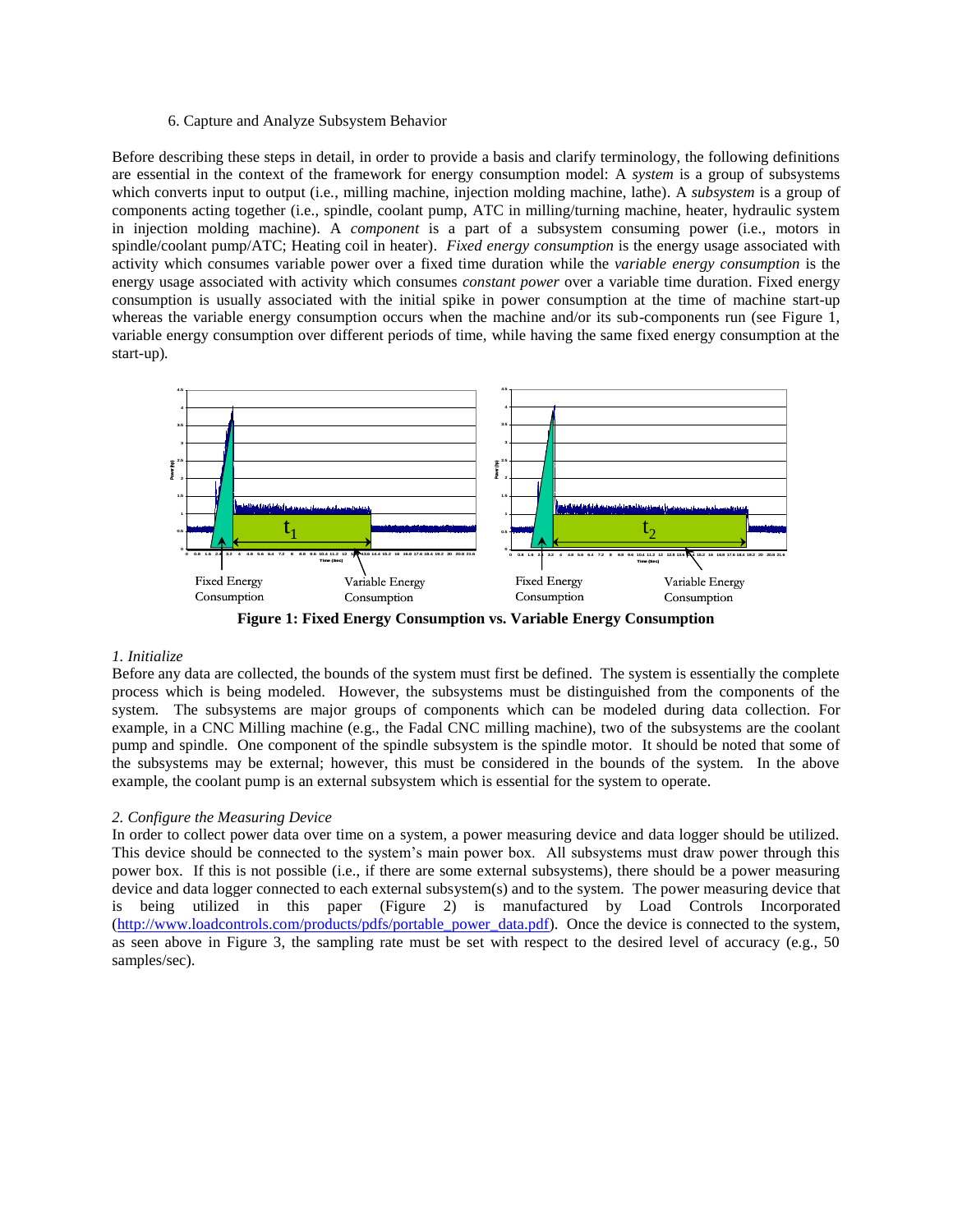## 6. Capture and Analyze Subsystem Behavior

Before describing these steps in detail, in order to provide a basis and clarify terminology, the following definitions are essential in the context of the framework for energy consumption model: A *system* is a group of subsystems which converts input to output (i.e., milling machine, injection molding machine, lathe). A *subsystem* is a group of components acting together (i.e., spindle, coolant pump, ATC in milling/turning machine, heater, hydraulic system in injection molding machine). A *component* is a part of a subsystem consuming power (i.e., motors in spindle/coolant pump/ATC; Heating coil in heater). *Fixed energy consumption* is the energy usage associated with activity which consumes variable power over a fixed time duration while the *variable energy consumption* is the energy usage associated with activity which consumes *constant power* over a variable time duration. Fixed energy consumption is usually associated with the initial spike in power consumption at the time of machine start-up whereas the variable energy consumption occurs when the machine and/or its sub-components run (see Figure 1, variable energy consumption over different periods of time, while having the same fixed energy consumption at the start-up)*.* 



**Figure 1: Fixed Energy Consumption vs. Variable Energy Consumption** 

#### *1. Initialize*

Before any data are collected, the bounds of the system must first be defined. The system is essentially the complete process which is being modeled. However, the subsystems must be distinguished from the components of the system. The subsystems are major groups of components which can be modeled during data collection. For example, in a CNC Milling machine (e.g., the Fadal CNC milling machine), two of the subsystems are the coolant pump and spindle. One component of the spindle subsystem is the spindle motor. It should be noted that some of the subsystems may be external; however, this must be considered in the bounds of the system. In the above example, the coolant pump is an external subsystem which is essential for the system to operate.

#### *2. Configure the Measuring Device*

In order to collect power data over time on a system, a power measuring device and data logger should be utilized. This device should be connected to the system's main power box. All subsystems must draw power through this power box. If this is not possible (i.e., if there are some external subsystems), there should be a power measuring device and data logger connected to each external subsystem(s) and to the system. The power measuring device that is being utilized in this paper (Figure 2) is manufactured by Load Controls Incorporated [\(http://www.loadcontrols.com/products/pdfs/portable\\_power\\_data.pdf\)](http://www.loadcontrols.com/products/pdfs/portable_power_data.pdf). Once the device is connected to the system, as seen above in Figure 3, the sampling rate must be set with respect to the desired level of accuracy (e.g., 50 samples/sec).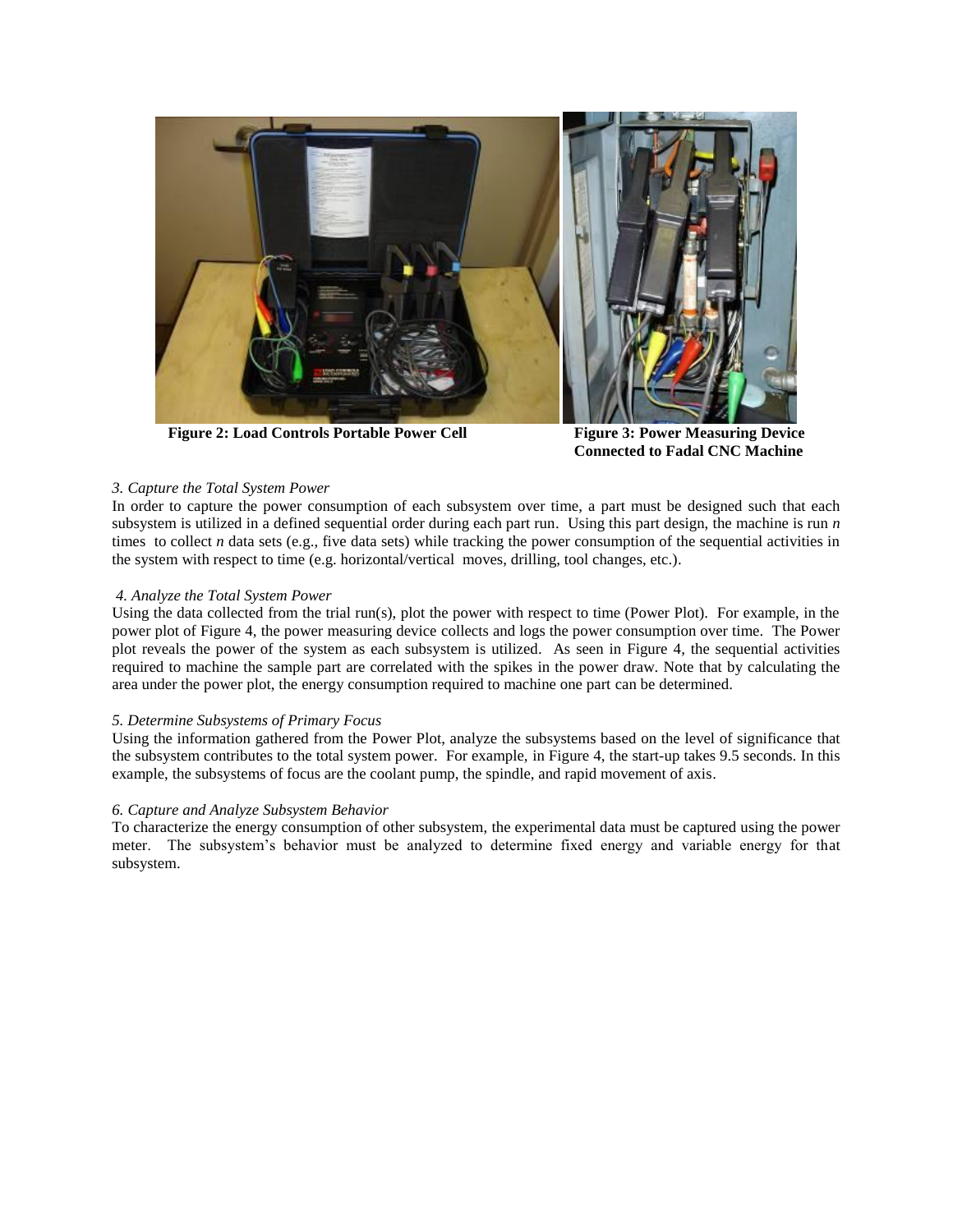

**Figure 2: Load Controls Portable Power Cell Figure 3: Power Measuring Device** 

**Connected to Fadal CNC Machine**

# *3. Capture the Total System Power*

In order to capture the power consumption of each subsystem over time, a part must be designed such that each subsystem is utilized in a defined sequential order during each part run. Using this part design, the machine is run *n*  times to collect *n* data sets (e.g., five data sets) while tracking the power consumption of the sequential activities in the system with respect to time (e.g. horizontal/vertical moves, drilling, tool changes, etc.).

### *4. Analyze the Total System Power*

Using the data collected from the trial run(s), plot the power with respect to time (Power Plot). For example, in the power plot of Figure 4, the power measuring device collects and logs the power consumption over time. The Power plot reveals the power of the system as each subsystem is utilized. As seen in Figure 4, the sequential activities required to machine the sample part are correlated with the spikes in the power draw. Note that by calculating the area under the power plot, the energy consumption required to machine one part can be determined.

# *5. Determine Subsystems of Primary Focus*

Using the information gathered from the Power Plot, analyze the subsystems based on the level of significance that the subsystem contributes to the total system power. For example, in Figure 4, the start-up takes 9.5 seconds. In this example, the subsystems of focus are the coolant pump, the spindle, and rapid movement of axis.

### *6. Capture and Analyze Subsystem Behavior*

To characterize the energy consumption of other subsystem, the experimental data must be captured using the power meter. The subsystem's behavior must be analyzed to determine fixed energy and variable energy for that subsystem.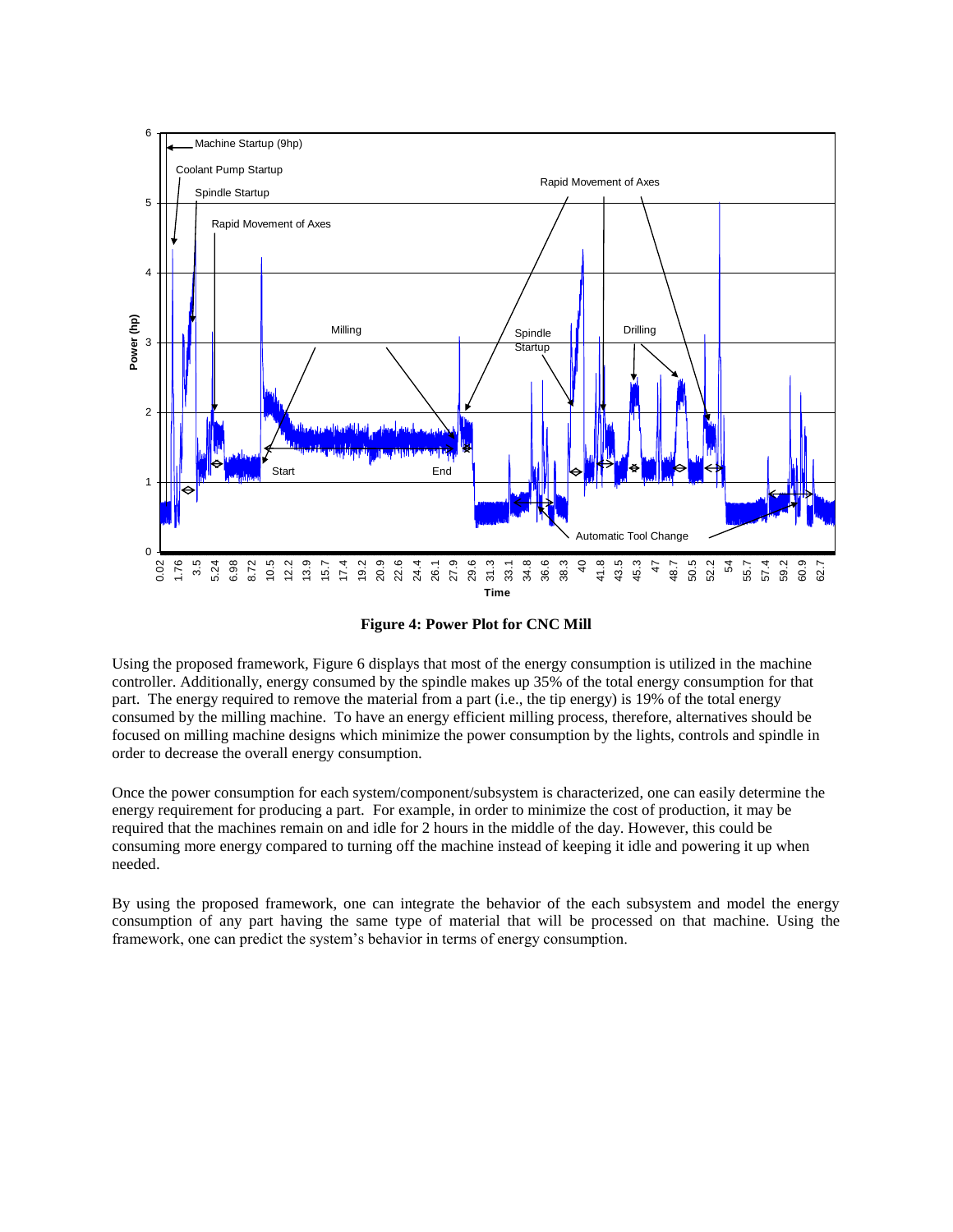

**Figure 4: Power Plot for CNC Mill**

Using the proposed framework, Figure 6 displays that most of the energy consumption is utilized in the machine controller. Additionally, energy consumed by the spindle makes up 35% of the total energy consumption for that part. The energy required to remove the material from a part (i.e., the tip energy) is 19% of the total energy consumed by the milling machine. To have an energy efficient milling process, therefore, alternatives should be focused on milling machine designs which minimize the power consumption by the lights, controls and spindle in order to decrease the overall energy consumption.

Once the power consumption for each system/component/subsystem is characterized, one can easily determine the energy requirement for producing a part. For example, in order to minimize the cost of production, it may be required that the machines remain on and idle for 2 hours in the middle of the day. However, this could be consuming more energy compared to turning off the machine instead of keeping it idle and powering it up when needed.

By using the proposed framework, one can integrate the behavior of the each subsystem and model the energy consumption of any part having the same type of material that will be processed on that machine. Using the framework, one can predict the system's behavior in terms of energy consumption.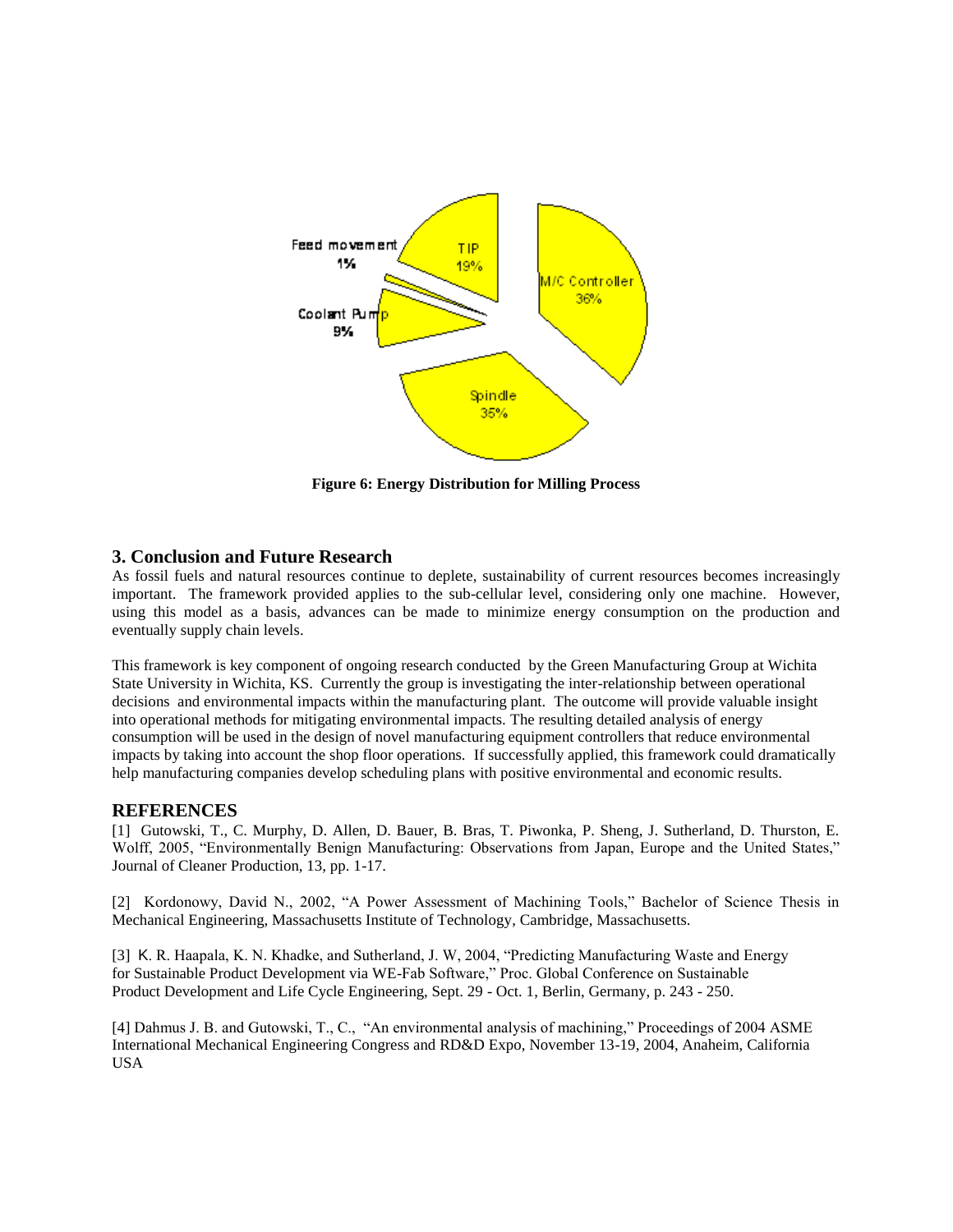

**Figure 6: Energy Distribution for Milling Process**

# **3. Conclusion and Future Research**

As fossil fuels and natural resources continue to deplete, sustainability of current resources becomes increasingly important. The framework provided applies to the sub-cellular level, considering only one machine. However, using this model as a basis, advances can be made to minimize energy consumption on the production and eventually supply chain levels.

This framework is key component of ongoing research conducted by the Green Manufacturing Group at Wichita State University in Wichita, KS. Currently the group is investigating the inter-relationship between operational decisions and environmental impacts within the manufacturing plant. The outcome will provide valuable insight into operational methods for mitigating environmental impacts. The resulting detailed analysis of energy consumption will be used in the design of novel manufacturing equipment controllers that reduce environmental impacts by taking into account the shop floor operations. If successfully applied, this framework could dramatically help manufacturing companies develop scheduling plans with positive environmental and economic results.

# **REFERENCES**

[1] Gutowski, T., C. Murphy, D. Allen, D. Bauer, B. Bras, T. Piwonka, P. Sheng, J. Sutherland, D. Thurston, E. Wolff, 2005, "Environmentally Benign Manufacturing: Observations from Japan, Europe and the United States," Journal of Cleaner Production, 13, pp. 1-17.

[2] Kordonowy, David N., 2002, "A Power Assessment of Machining Tools," Bachelor of Science Thesis in Mechanical Engineering, Massachusetts Institute of Technology, Cambridge, Massachusetts.

[3] K. R. Haapala, K. N. Khadke, and Sutherland, J. W, 2004, "Predicting Manufacturing Waste and Energy for Sustainable Product Development via WE-Fab Software," Proc. Global Conference on Sustainable Product Development and Life Cycle Engineering, Sept. 29 - Oct. 1, Berlin, Germany, p. 243 - 250.

[4] Dahmus J. B. and Gutowski, T., C., "An environmental analysis of machining," Proceedings of 2004 ASME International Mechanical Engineering Congress and RD&D Expo, November 13-19, 2004, Anaheim, California USA